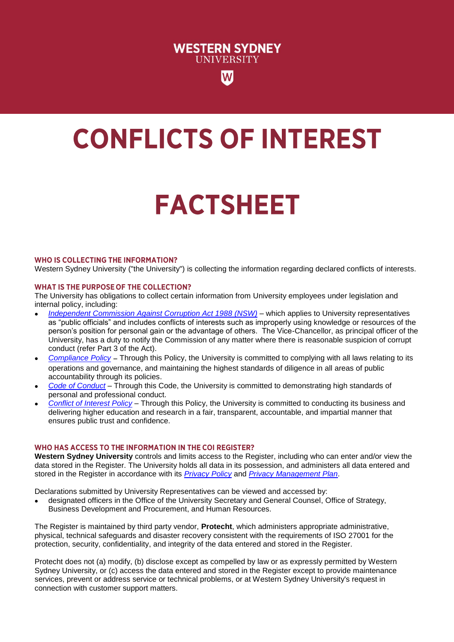# **CONFLICTS OF INTEREST**

**WESTERN SYDNEY UNIVERSITY** 

## **FACTSHEET**

## **WHO IS COLLECTING THE INFORMATION?**

Western Sydney University ("the University") is collecting the information regarding declared conflicts of interests.

## **WHAT IS THE PURPOSE OF THE COLLECTION?**

The University has obligations to collect certain information from University employees under legislation and internal policy, including:

- *[Independent Commission Against Corruption Act 1988](https://www.legislation.nsw.gov.au/#/view/act/1988/35) (NSW)* which applies to University representatives as "public officials" and includes conflicts of interests such as improperly using knowledge or resources of the person's position for personal gain or the advantage of others. The Vice-Chancellor, as principal officer of the University, has a duty to notify the Commission of any matter where there is reasonable suspicion of corrupt conduct (refer Part 3 of the Act).
- **[Compliance Policy](https://policies.westernsydney.edu.au/document/view.current.php?id=307)** Through this Policy, the University is committed to complying with all laws relating to its operations and governance, and maintaining the highest standards of diligence in all areas of public accountability through its policies.
- *[Code of Conduct](https://policies.westernsydney.edu.au/document/view.current.php?id=72)* Through this Code, the University is committed to demonstrating high standards of personal and professional conduct.
- *[Conflict of Interest Policy](https://policies.westernsydney.edu.au/document/view.current.php?id=93)* Through this Policy, the University is committed to conducting its business and delivering higher education and research in a fair, transparent, accountable, and impartial manner that ensures public trust and confidence.

## WHO HAS ACCESS TO THE INFORMATION IN THE COI REGISTER?

**Western Sydney University** controls and limits access to the Register, including who can enter and/or view the data stored in the Register. The University holds all data in its possession, and administers all data entered and stored in the Register in accordance with its *[Privacy Policy](https://policies.westernsydney.edu.au/document/view.current.php?id=108)* and *[Privacy Management Plan](https://policies.westernsydney.edu.au/document/view.current.php?id=149)*.

Declarations submitted by University Representatives can be viewed and accessed by:

 designated officers in the Office of the University Secretary and General Counsel, Office of Strategy, Business Development and Procurement, and Human Resources.

The Register is maintained by third party vendor, **Protecht**, which administers appropriate administrative, physical, technical safeguards and disaster recovery consistent with the requirements of ISO 27001 for the protection, security, confidentiality, and integrity of the data entered and stored in the Register.

Protecht does not (a) modify, (b) disclose except as compelled by law or as expressly permitted by Western Sydney University, or (c) access the data entered and stored in the Register except to provide maintenance services, prevent or address service or technical problems, or at Western Sydney University's request in connection with customer support matters.